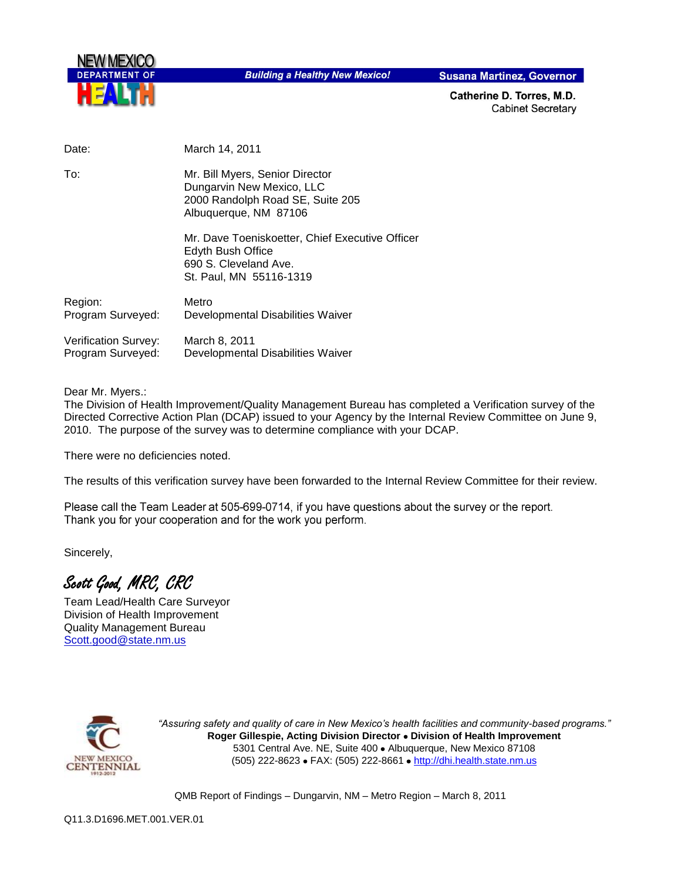

**Building a Healthy New Mexico!** 

**Susana Martinez, Governor** 

Catherine D. Torres, M.D. **Cabinet Secretary** 

| Date:                                     | March 14, 2011                                                                                                            |
|-------------------------------------------|---------------------------------------------------------------------------------------------------------------------------|
| To:                                       | Mr. Bill Myers, Senior Director<br>Dungarvin New Mexico, LLC<br>2000 Randolph Road SE, Suite 205<br>Albuquerque, NM 87106 |
|                                           | Mr. Dave Toeniskoetter, Chief Executive Officer<br>Edyth Bush Office<br>690 S. Cleveland Ave.<br>St. Paul, MN 55116-1319  |
| Region:<br>Program Surveyed:              | Metro<br>Developmental Disabilities Waiver                                                                                |
| Verification Survey:<br>Program Surveyed: | March 8, 2011<br>Developmental Disabilities Waiver                                                                        |

Dear Mr. Myers.:

The Division of Health Improvement/Quality Management Bureau has completed a Verification survey of the Directed Corrective Action Plan (DCAP) issued to your Agency by the Internal Review Committee on June 9, 2010. The purpose of the survey was to determine compliance with your DCAP.

There were no deficiencies noted.

The results of this verification survey have been forwarded to the Internal Review Committee for their review.

Please call the Team Leader at 505-699-0714, if you have questions about the survey or the report. Thank you for your cooperation and for the work you perform.

Sincerely,

Scott Good, MRC, CRC

Team Lead/Health Care Surveyor Division of Health Improvement Quality Management Bureau Scott.good@state.nm.us



*"Assuring safety and quality of care in New Mexico's health facilities and community-based programs."* **Roger Gillespie, Acting Division Director Division of Health Improvement**  5301 Central Ave. NE, Suite 400 · Albuquerque, New Mexico 87108 (505) 222-8623 • FAX: (505) 222-8661 • http://dhi.health.state.nm.us

QMB Report of Findings – Dungarvin, NM – Metro Region – March 8, 2011